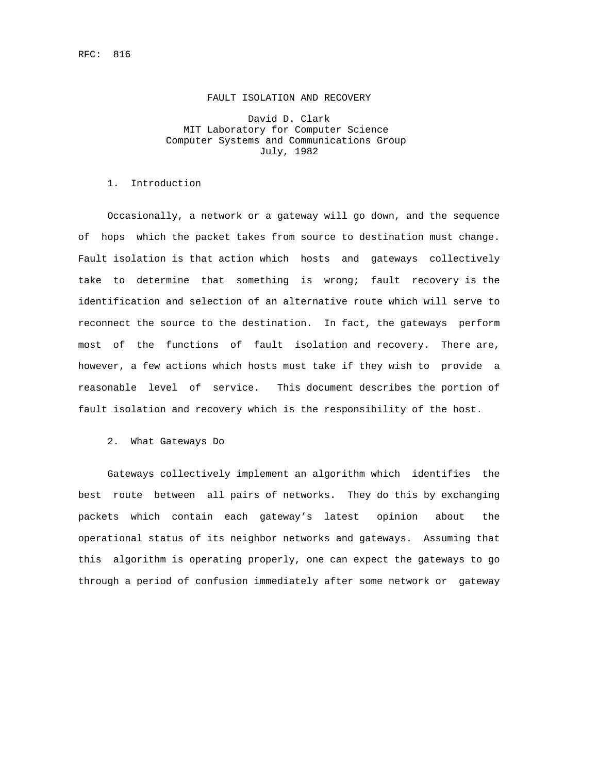#### FAULT ISOLATION AND RECOVERY

# David D. Clark MIT Laboratory for Computer Science Computer Systems and Communications Group July, 1982

### 1. Introduction

 Occasionally, a network or a gateway will go down, and the sequence of hops which the packet takes from source to destination must change. Fault isolation is that action which hosts and gateways collectively take to determine that something is wrong; fault recovery is the identification and selection of an alternative route which will serve to reconnect the source to the destination. In fact, the gateways perform most of the functions of fault isolation and recovery. There are, however, a few actions which hosts must take if they wish to provide a reasonable level of service. This document describes the portion of fault isolation and recovery which is the responsibility of the host.

## 2. What Gateways Do

 Gateways collectively implement an algorithm which identifies the best route between all pairs of networks. They do this by exchanging packets which contain each gateway's latest opinion about the operational status of its neighbor networks and gateways. Assuming that this algorithm is operating properly, one can expect the gateways to go through a period of confusion immediately after some network or gateway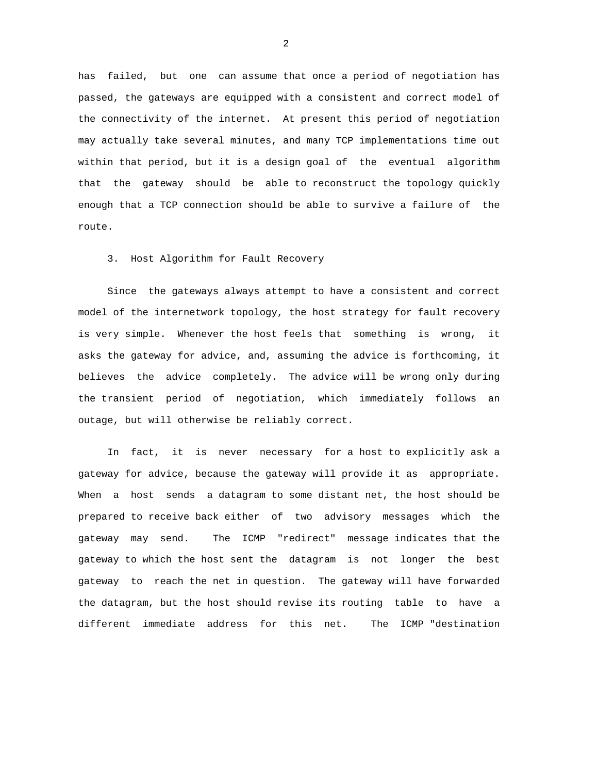has failed, but one can assume that once a period of negotiation has passed, the gateways are equipped with a consistent and correct model of the connectivity of the internet. At present this period of negotiation may actually take several minutes, and many TCP implementations time out within that period, but it is a design goal of the eventual algorithm that the gateway should be able to reconstruct the topology quickly enough that a TCP connection should be able to survive a failure of the route.

3. Host Algorithm for Fault Recovery

 Since the gateways always attempt to have a consistent and correct model of the internetwork topology, the host strategy for fault recovery is very simple. Whenever the host feels that something is wrong, it asks the gateway for advice, and, assuming the advice is forthcoming, it believes the advice completely. The advice will be wrong only during the transient period of negotiation, which immediately follows an outage, but will otherwise be reliably correct.

 In fact, it is never necessary for a host to explicitly ask a gateway for advice, because the gateway will provide it as appropriate. When a host sends a datagram to some distant net, the host should be prepared to receive back either of two advisory messages which the gateway may send. The ICMP "redirect" message indicates that the gateway to which the host sent the datagram is not longer the best gateway to reach the net in question. The gateway will have forwarded the datagram, but the host should revise its routing table to have a different immediate address for this net. The ICMP "destination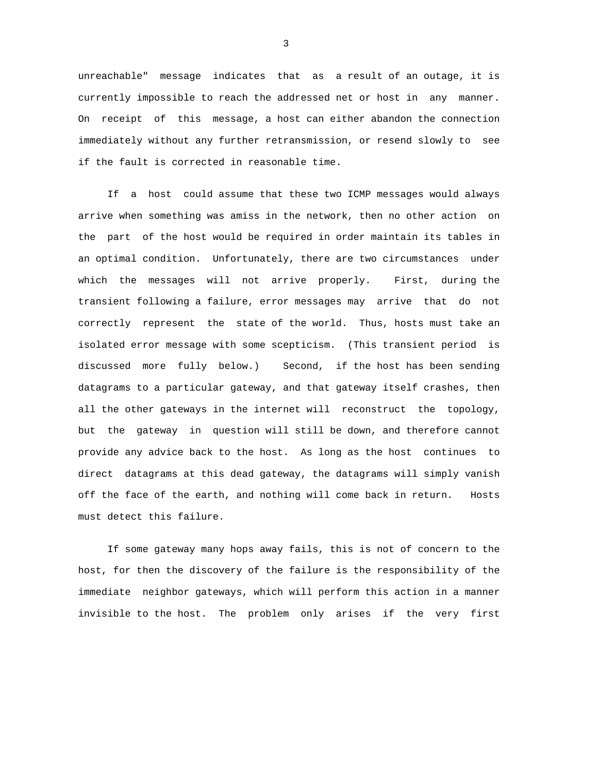unreachable" message indicates that as a result of an outage, it is currently impossible to reach the addressed net or host in any manner. On receipt of this message, a host can either abandon the connection immediately without any further retransmission, or resend slowly to see if the fault is corrected in reasonable time.

 If a host could assume that these two ICMP messages would always arrive when something was amiss in the network, then no other action on the part of the host would be required in order maintain its tables in an optimal condition. Unfortunately, there are two circumstances under which the messages will not arrive properly. First, during the transient following a failure, error messages may arrive that do not correctly represent the state of the world. Thus, hosts must take an isolated error message with some scepticism. (This transient period is discussed more fully below.) Second, if the host has been sending datagrams to a particular gateway, and that gateway itself crashes, then all the other gateways in the internet will reconstruct the topology, but the gateway in question will still be down, and therefore cannot provide any advice back to the host. As long as the host continues to direct datagrams at this dead gateway, the datagrams will simply vanish off the face of the earth, and nothing will come back in return. Hosts must detect this failure.

 If some gateway many hops away fails, this is not of concern to the host, for then the discovery of the failure is the responsibility of the immediate neighbor gateways, which will perform this action in a manner invisible to the host. The problem only arises if the very first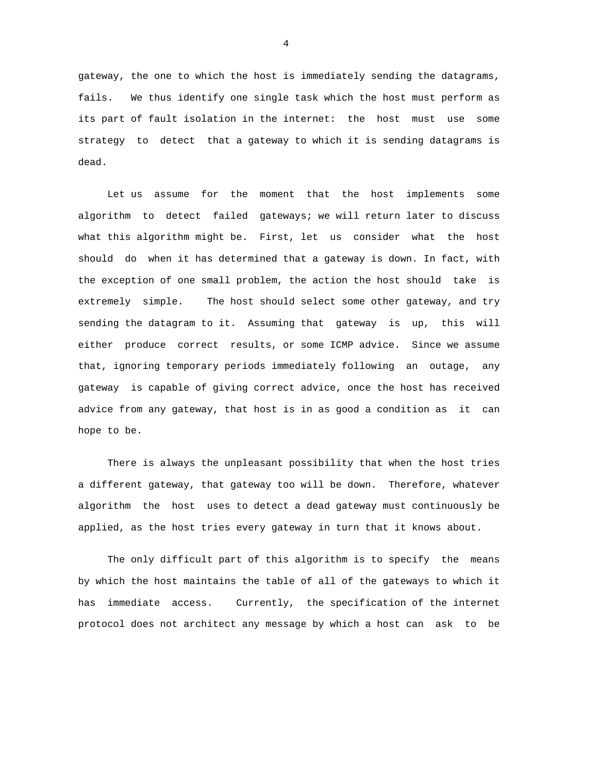gateway, the one to which the host is immediately sending the datagrams, fails. We thus identify one single task which the host must perform as its part of fault isolation in the internet: the host must use some strategy to detect that a gateway to which it is sending datagrams is dead.

 Let us assume for the moment that the host implements some algorithm to detect failed gateways; we will return later to discuss what this algorithm might be. First, let us consider what the host should do when it has determined that a gateway is down. In fact, with the exception of one small problem, the action the host should take is extremely simple. The host should select some other gateway, and try sending the datagram to it. Assuming that gateway is up, this will either produce correct results, or some ICMP advice. Since we assume that, ignoring temporary periods immediately following an outage, any gateway is capable of giving correct advice, once the host has received advice from any gateway, that host is in as good a condition as it can hope to be.

 There is always the unpleasant possibility that when the host tries a different gateway, that gateway too will be down. Therefore, whatever algorithm the host uses to detect a dead gateway must continuously be applied, as the host tries every gateway in turn that it knows about.

 The only difficult part of this algorithm is to specify the means by which the host maintains the table of all of the gateways to which it has immediate access. Currently, the specification of the internet protocol does not architect any message by which a host can ask to be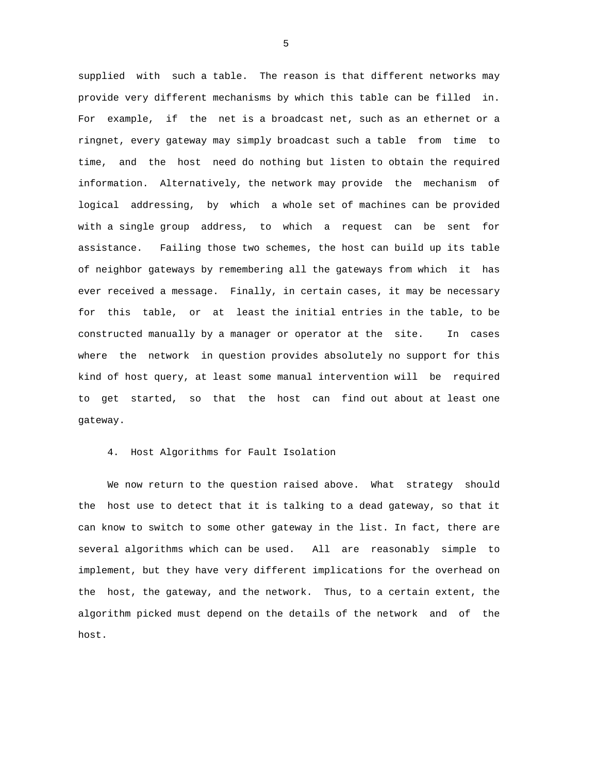supplied with such a table. The reason is that different networks may provide very different mechanisms by which this table can be filled in. For example, if the net is a broadcast net, such as an ethernet or a ringnet, every gateway may simply broadcast such a table from time to time, and the host need do nothing but listen to obtain the required information. Alternatively, the network may provide the mechanism of logical addressing, by which a whole set of machines can be provided with a single group address, to which a request can be sent for assistance. Failing those two schemes, the host can build up its table of neighbor gateways by remembering all the gateways from which it has ever received a message. Finally, in certain cases, it may be necessary for this table, or at least the initial entries in the table, to be constructed manually by a manager or operator at the site. In cases where the network in question provides absolutely no support for this kind of host query, at least some manual intervention will be required to get started, so that the host can find out about at least one gateway.

4. Host Algorithms for Fault Isolation

 We now return to the question raised above. What strategy should the host use to detect that it is talking to a dead gateway, so that it can know to switch to some other gateway in the list. In fact, there are several algorithms which can be used. All are reasonably simple to implement, but they have very different implications for the overhead on the host, the gateway, and the network. Thus, to a certain extent, the algorithm picked must depend on the details of the network and of the host.

 $\sim$  5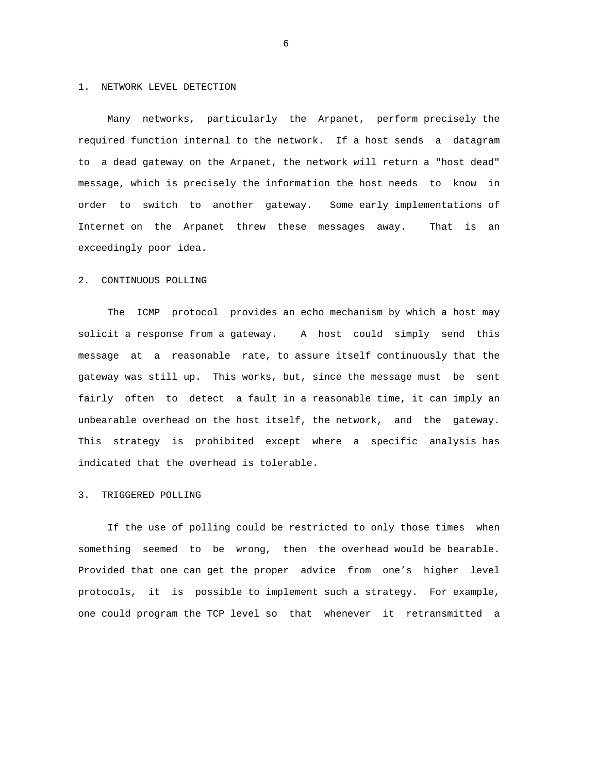#### 1. NETWORK LEVEL DETECTION

 Many networks, particularly the Arpanet, perform precisely the required function internal to the network. If a host sends a datagram to a dead gateway on the Arpanet, the network will return a "host dead" message, which is precisely the information the host needs to know in order to switch to another gateway. Some early implementations of Internet on the Arpanet threw these messages away. That is an exceedingly poor idea.

#### 2. CONTINUOUS POLLING

 The ICMP protocol provides an echo mechanism by which a host may solicit a response from a gateway. A host could simply send this message at a reasonable rate, to assure itself continuously that the gateway was still up. This works, but, since the message must be sent fairly often to detect a fault in a reasonable time, it can imply an unbearable overhead on the host itself, the network, and the gateway. This strategy is prohibited except where a specific analysis has indicated that the overhead is tolerable.

### 3. TRIGGERED POLLING

 If the use of polling could be restricted to only those times when something seemed to be wrong, then the overhead would be bearable. Provided that one can get the proper advice from one's higher level protocols, it is possible to implement such a strategy. For example, one could program the TCP level so that whenever it retransmitted a

 $\sim$  6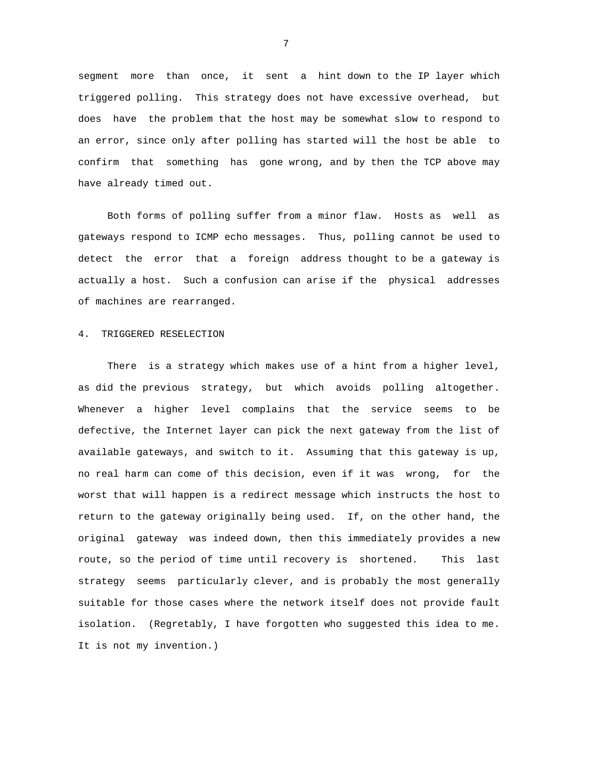segment more than once, it sent a hint down to the IP layer which triggered polling. This strategy does not have excessive overhead, but does have the problem that the host may be somewhat slow to respond to an error, since only after polling has started will the host be able to confirm that something has gone wrong, and by then the TCP above may have already timed out.

 Both forms of polling suffer from a minor flaw. Hosts as well as gateways respond to ICMP echo messages. Thus, polling cannot be used to detect the error that a foreign address thought to be a gateway is actually a host. Such a confusion can arise if the physical addresses of machines are rearranged.

# 4. TRIGGERED RESELECTION

 There is a strategy which makes use of a hint from a higher level, as did the previous strategy, but which avoids polling altogether. Whenever a higher level complains that the service seems to be defective, the Internet layer can pick the next gateway from the list of available gateways, and switch to it. Assuming that this gateway is up, no real harm can come of this decision, even if it was wrong, for the worst that will happen is a redirect message which instructs the host to return to the gateway originally being used. If, on the other hand, the original gateway was indeed down, then this immediately provides a new route, so the period of time until recovery is shortened. This last strategy seems particularly clever, and is probably the most generally suitable for those cases where the network itself does not provide fault isolation. (Regretably, I have forgotten who suggested this idea to me. It is not my invention.)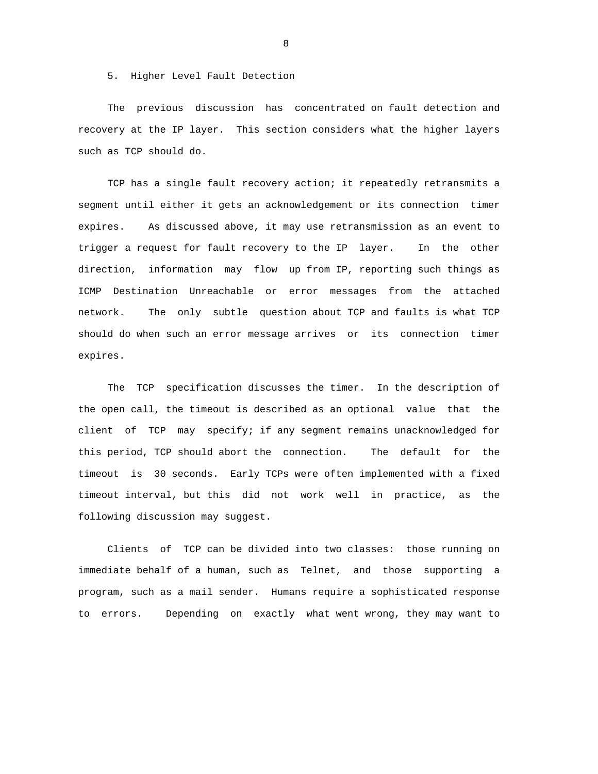5. Higher Level Fault Detection

 The previous discussion has concentrated on fault detection and recovery at the IP layer. This section considers what the higher layers such as TCP should do.

 TCP has a single fault recovery action; it repeatedly retransmits a segment until either it gets an acknowledgement or its connection timer expires. As discussed above, it may use retransmission as an event to trigger a request for fault recovery to the IP layer. In the other direction, information may flow up from IP, reporting such things as ICMP Destination Unreachable or error messages from the attached network. The only subtle question about TCP and faults is what TCP should do when such an error message arrives or its connection timer expires.

 The TCP specification discusses the timer. In the description of the open call, the timeout is described as an optional value that the client of TCP may specify; if any segment remains unacknowledged for this period, TCP should abort the connection. The default for the timeout is 30 seconds. Early TCPs were often implemented with a fixed timeout interval, but this did not work well in practice, as the following discussion may suggest.

 Clients of TCP can be divided into two classes: those running on immediate behalf of a human, such as Telnet, and those supporting a program, such as a mail sender. Humans require a sophisticated response to errors. Depending on exactly what went wrong, they may want to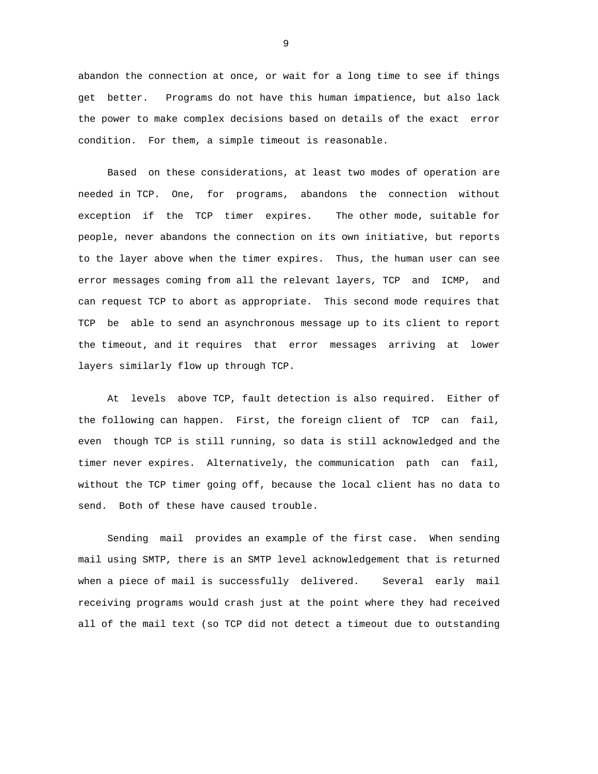abandon the connection at once, or wait for a long time to see if things get better. Programs do not have this human impatience, but also lack the power to make complex decisions based on details of the exact error condition. For them, a simple timeout is reasonable.

 Based on these considerations, at least two modes of operation are needed in TCP. One, for programs, abandons the connection without exception if the TCP timer expires. The other mode, suitable for people, never abandons the connection on its own initiative, but reports to the layer above when the timer expires. Thus, the human user can see error messages coming from all the relevant layers, TCP and ICMP, and can request TCP to abort as appropriate. This second mode requires that TCP be able to send an asynchronous message up to its client to report the timeout, and it requires that error messages arriving at lower layers similarly flow up through TCP.

 At levels above TCP, fault detection is also required. Either of the following can happen. First, the foreign client of TCP can fail, even though TCP is still running, so data is still acknowledged and the timer never expires. Alternatively, the communication path can fail, without the TCP timer going off, because the local client has no data to send. Both of these have caused trouble.

 Sending mail provides an example of the first case. When sending mail using SMTP, there is an SMTP level acknowledgement that is returned when a piece of mail is successfully delivered. Several early mail receiving programs would crash just at the point where they had received all of the mail text (so TCP did not detect a timeout due to outstanding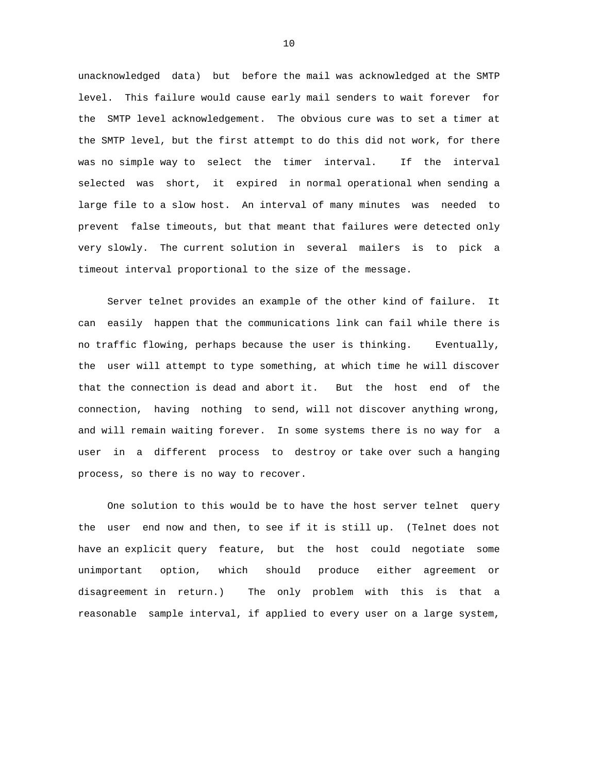unacknowledged data) but before the mail was acknowledged at the SMTP level. This failure would cause early mail senders to wait forever for the SMTP level acknowledgement. The obvious cure was to set a timer at the SMTP level, but the first attempt to do this did not work, for there was no simple way to select the timer interval. If the interval selected was short, it expired in normal operational when sending a large file to a slow host. An interval of many minutes was needed to prevent false timeouts, but that meant that failures were detected only very slowly. The current solution in several mailers is to pick a timeout interval proportional to the size of the message.

 Server telnet provides an example of the other kind of failure. It can easily happen that the communications link can fail while there is no traffic flowing, perhaps because the user is thinking. Eventually, the user will attempt to type something, at which time he will discover that the connection is dead and abort it. But the host end of the connection, having nothing to send, will not discover anything wrong, and will remain waiting forever. In some systems there is no way for a user in a different process to destroy or take over such a hanging process, so there is no way to recover.

 One solution to this would be to have the host server telnet query the user end now and then, to see if it is still up. (Telnet does not have an explicit query feature, but the host could negotiate some unimportant option, which should produce either agreement or disagreement in return.) The only problem with this is that a reasonable sample interval, if applied to every user on a large system,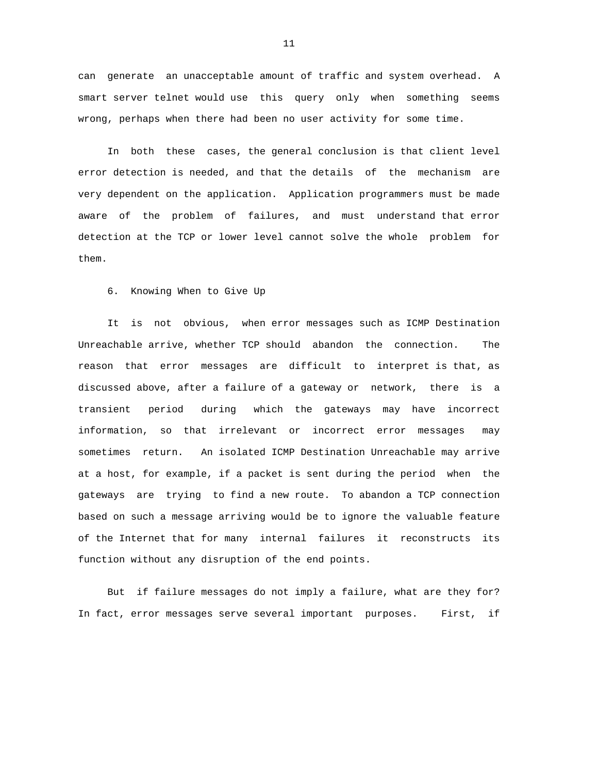can generate an unacceptable amount of traffic and system overhead. A smart server telnet would use this query only when something seems wrong, perhaps when there had been no user activity for some time.

 In both these cases, the general conclusion is that client level error detection is needed, and that the details of the mechanism are very dependent on the application. Application programmers must be made aware of the problem of failures, and must understand that error detection at the TCP or lower level cannot solve the whole problem for them.

6. Knowing When to Give Up

 It is not obvious, when error messages such as ICMP Destination Unreachable arrive, whether TCP should abandon the connection. The reason that error messages are difficult to interpret is that, as discussed above, after a failure of a gateway or network, there is a transient period during which the gateways may have incorrect information, so that irrelevant or incorrect error messages may sometimes return. An isolated ICMP Destination Unreachable may arrive at a host, for example, if a packet is sent during the period when the gateways are trying to find a new route. To abandon a TCP connection based on such a message arriving would be to ignore the valuable feature of the Internet that for many internal failures it reconstructs its function without any disruption of the end points.

 But if failure messages do not imply a failure, what are they for? In fact, error messages serve several important purposes. First, if